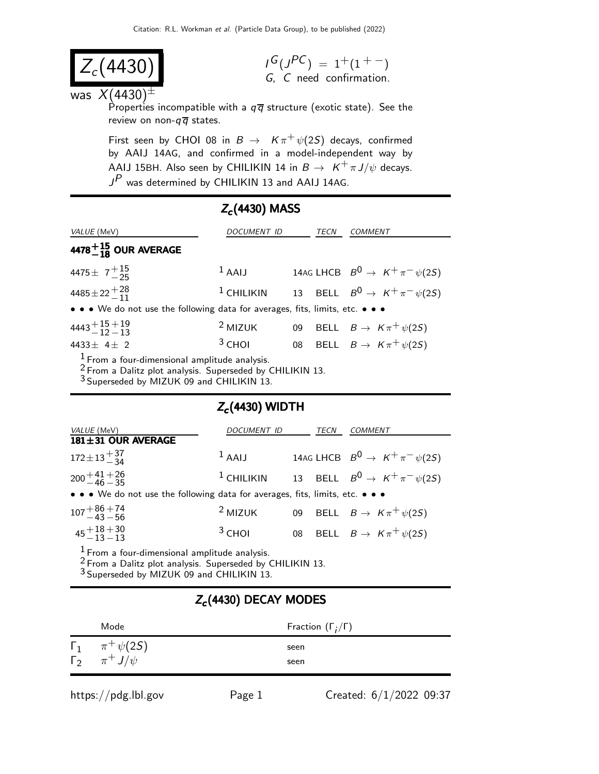$$
Z_c(4430)
$$

$$
I^G(J^{PC}) = 1^+(1^{+-})
$$
  
G, C need confirmation.

was  $X(4430)^{\pm}$ 

Properties incompatible with a  $q\overline{q}$  structure (exotic state). See the review on non- $q\overline{q}$  states.

First seen by CHOI 08 in  $B$   $\rightarrow$   $\ K \pi^+ \psi(2S)$  decays, confirmed by AAIJ 14AG, and confirmed in a model-independent way by AAIJ 15BH. Also seen by CHILIKIN 14 in  $B\to~$   $\mathsf{K}^+\pi\mathsf{J}/\psi$  decays.  $J^P$  was determined by CHILIKIN 13 and AAIJ 14AG.

## $Z_c$ (4430) MASS

| <i>VALUE</i> (MeV)                                                            | DOCUMENT ID  |  | TECN | <i>COMMENT</i>                               |
|-------------------------------------------------------------------------------|--------------|--|------|----------------------------------------------|
| 4478 $^{+15}_{-18}$ OUR AVERAGE                                               |              |  |      |                                              |
| 4475 ± $7^{+15}_{-25}$                                                        | $1$ AAIJ     |  |      | 14AG LHCB $B^0 \rightarrow K^+\pi^-\psi(2S)$ |
| $4485 \pm 22 + \frac{28}{11}$                                                 | $1$ CHILIKIN |  |      | 13 BELL $B^0 \rightarrow K^+ \pi^- \psi(2S)$ |
| • • • We do not use the following data for averages, fits, limits, etc. • • • |              |  |      |                                              |
| $4443 + 15 + 19$<br>$-12 - 13$                                                | $2$ MIZUK    |  |      | 09 BELL $B \to K \pi^+ \psi(2S)$             |
| 4433 $\pm$ 4 $\pm$ 2                                                          | $3$ CHOI     |  |      | 08 BELL $B \to K \pi^+ \psi(2S)$             |

 $\frac{1}{2}$  From a four-dimensional amplitude analysis.

2 From a Dalitz plot analysis. Superseded by CHILIKIN 13.

3 Superseded by MIZUK 09 and CHILIKIN 13.

# $Z_c$ (4430) WIDTH

| <i>VALUE</i> (MeV)                                                            | <i>DOCUMENT ID</i> |    | TECN | <i>COMMENT</i>                               |
|-------------------------------------------------------------------------------|--------------------|----|------|----------------------------------------------|
| 181±31 OUR AVERAGE                                                            |                    |    |      |                                              |
| $172 \pm 13 \frac{+37}{-34}$                                                  | $1$ AAIJ           |    |      | 14AG LHCB $B^0 \rightarrow K^+\pi^-\psi(2S)$ |
| $200 + 41 + 26$<br>$-46 - 35$                                                 | $1$ CHILIKIN       |    |      | 13 BELL $B^0 \rightarrow K^+ \pi^- \psi(2S)$ |
| • • • We do not use the following data for averages, fits, limits, etc. • • • |                    |    |      |                                              |
| $107 + 86 + 74$<br>$-43 - 56$                                                 | $2$ MIZUK          |    |      | 09 BELL $B \to K \pi^+ \psi(2S)$             |
| $45 + 18 + 30$<br>$-13 - 13$                                                  | $3$ CHOI           | 08 |      | BELL $B \to K \pi^+ \psi(2S)$                |

 $\frac{1}{2}$  From a four-dimensional amplitude analysis.

 $\frac{2}{3}$  From a Dalitz plot analysis. Superseded by CHILIKIN 13.

3 Superseded by MIZUK 09 and CHILIKIN 13.

## Z<sub>c</sub>(4430) DECAY MODES

| Mode                                                       | Fraction $(\Gamma_i/\Gamma)$ |
|------------------------------------------------------------|------------------------------|
| $\Gamma_1 \ \ \pi^+ \psi(2S)$<br>$\Gamma_2$ $\pi^+ J/\psi$ | seen<br>seen                 |